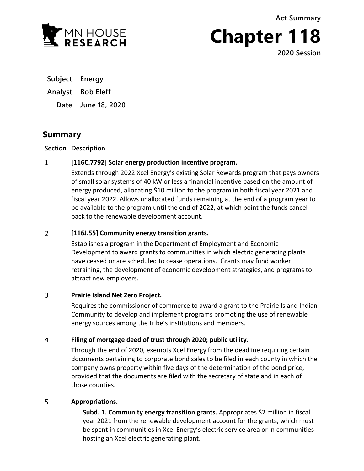**Act Summary**



**Chapter 118**

**2020 Session**

**Subject Energy**

## **Analyst Bob Eleff**

**Date June 18, 2020**

# **Summary**

### **Section Description**

#### $\mathbf{1}$ **[116C.7792] Solar energy production incentive program.**

Extends through 2022 Xcel Energy's existing Solar Rewards program that pays owners of small solar systems of 40 kW or less a financial incentive based on the amount of energy produced, allocating \$10 million to the program in both fiscal year 2021 and fiscal year 2022. Allows unallocated funds remaining at the end of a program year to be available to the program until the end of 2022, at which point the funds cancel back to the renewable development account.

#### $\overline{2}$ **[116J.55] Community energy transition grants.**

Establishes a program in the Department of Employment and Economic Development to award grants to communities in which electric generating plants have ceased or are scheduled to cease operations. Grants may fund worker retraining, the development of economic development strategies, and programs to attract new employers.

#### $\overline{3}$ **Prairie Island Net Zero Project.**

Requires the commissioner of commerce to award a grant to the Prairie Island Indian Community to develop and implement programs promoting the use of renewable energy sources among the tribe's institutions and members.

#### $\overline{4}$ **Filing of mortgage deed of trust through 2020; public utility.**

Through the end of 2020, exempts Xcel Energy from the deadline requiring certain documents pertaining to corporate bond sales to be filed in each county in which the company owns property within five days of the determination of the bond price, provided that the documents are filed with the secretary of state and in each of those counties.

#### 5 **Appropriations.**

**Subd. 1. Community energy transition grants.** Appropriates \$2 million in fiscal year 2021 from the renewable development account for the grants, which must be spent in communities in Xcel Energy's electric service area or in communities hosting an Xcel electric generating plant.